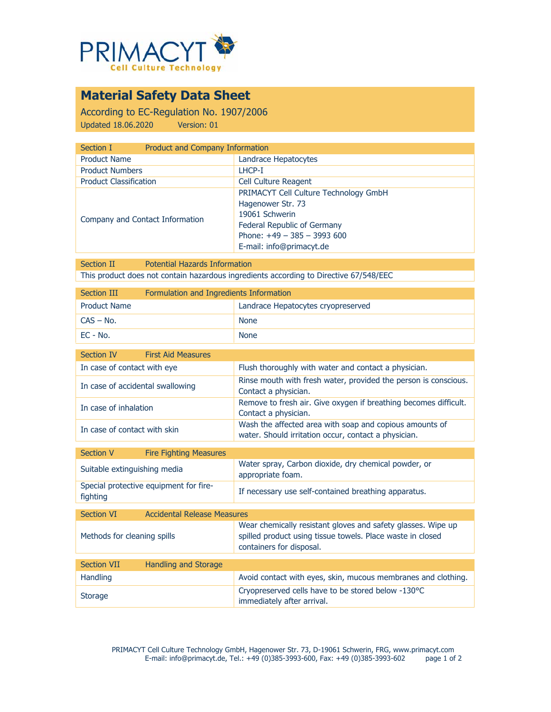

# **Material Safety Data Sheet**

According to EC-Regulation No. 1907/2006 Updated 18.06.2020 Version: 01

| Section I                       | Product and Company Information       |  |
|---------------------------------|---------------------------------------|--|
| <b>Product Name</b>             | Landrace Hepatocytes                  |  |
| <b>Product Numbers</b>          | LHCP-I                                |  |
| <b>Product Classification</b>   | <b>Cell Culture Reagent</b>           |  |
| Company and Contact Information | PRIMACYT Cell Culture Technology GmbH |  |
|                                 |                                       |  |
|                                 |                                       |  |
|                                 | Federal Republic of Germany           |  |
|                                 | Phone: $+49 - 385 - 3993600$          |  |
|                                 | E-mail: info@primacyt.de              |  |
|                                 | Hagenower Str. 73<br>19061 Schwerin   |  |

Section II Potential Hazards Information This product does not contain hazardous ingredients according to Directive 67/548/EEC

| Section III         | Formulation and Ingredients Information |                                    |
|---------------------|-----------------------------------------|------------------------------------|
| <b>Product Name</b> |                                         | Landrace Hepatocytes cryopreserved |
| CAS – No.           |                                         | <b>None</b>                        |
| $EC - No.$          |                                         | <b>None</b>                        |

| Section IV<br><b>First Aid Measures</b> |                                                                                                                 |
|-----------------------------------------|-----------------------------------------------------------------------------------------------------------------|
| In case of contact with eye             | Flush thoroughly with water and contact a physician.                                                            |
| In case of accidental swallowing        | Rinse mouth with fresh water, provided the person is conscious.<br>Contact a physician.                         |
| In case of inhalation                   | Remove to fresh air. Give oxygen if breathing becomes difficult.<br>Contact a physician.                        |
| In case of contact with skin            | Wash the affected area with soap and copious amounts of<br>water. Should irritation occur, contact a physician. |
|                                         |                                                                                                                 |

| Section V                    | <b>Fire Fighting Measures</b>          |                                                                           |
|------------------------------|----------------------------------------|---------------------------------------------------------------------------|
| Suitable extinguishing media |                                        | Water spray, Carbon dioxide, dry chemical powder, or<br>appropriate foam. |
| fighting                     | Special protective equipment for fire- | If necessary use self-contained breathing apparatus.                      |

| Section VI                  | <b>Accidental Release Measures</b> |                                                                                                                                                        |
|-----------------------------|------------------------------------|--------------------------------------------------------------------------------------------------------------------------------------------------------|
| Methods for cleaning spills |                                    | Wear chemically resistant gloves and safety glasses. Wipe up<br>spilled product using tissue towels. Place waste in closed<br>containers for disposal. |
|                             |                                    |                                                                                                                                                        |
| <b>Section VII</b>          | Handling and Storage               |                                                                                                                                                        |
| <b>Handling</b>             |                                    | Avoid contact with eyes, skin, mucous membranes and clothing.                                                                                          |
| <b>Storage</b>              |                                    | Cryopreserved cells have to be stored below -130 °C<br>immediately after arrival.                                                                      |